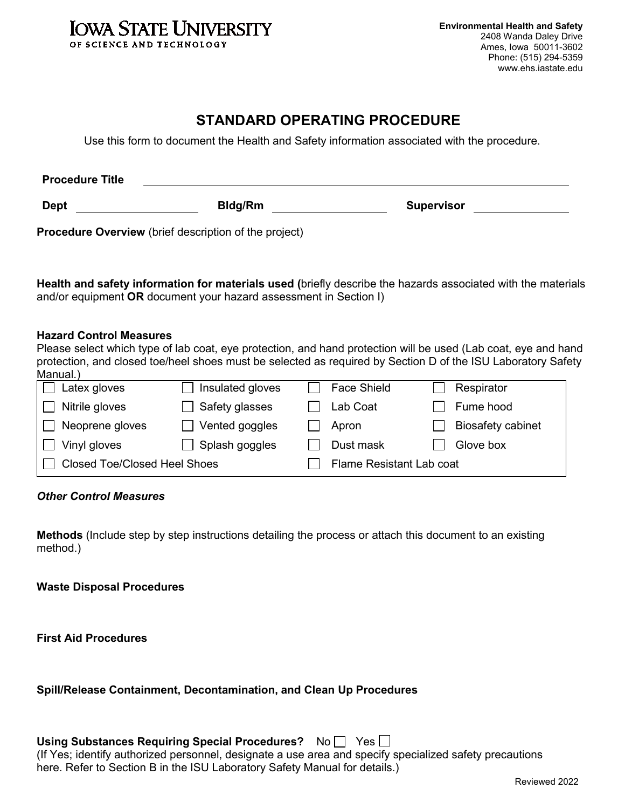

# **STANDARD OPERATING PROCEDURE**

Use this form to document the Health and Safety information associated with the procedure.

| <b>Procedure Title</b>                                       |         |                   |
|--------------------------------------------------------------|---------|-------------------|
| <b>Dept</b>                                                  | Bldg/Rm | <b>Supervisor</b> |
| <b>Procedure Overview</b> (brief description of the project) |         |                   |

**Health and safety information for materials used (**briefly describe the hazards associated with the materials and/or equipment **OR** document your hazard assessment in Section I)

#### **Hazard Control Measures**

| Please select which type of lab coat, eye protection, and hand protection will be used (Lab coat, eye and hand |
|----------------------------------------------------------------------------------------------------------------|
| protection, and closed toe/heel shoes must be selected as required by Section D of the ISU Laboratory Safety   |
| Manual.)                                                                                                       |

| Latex gloves                        | Insulated gloves | <b>Face Shield</b>       | Respirator               |  |
|-------------------------------------|------------------|--------------------------|--------------------------|--|
| Nitrile gloves                      | Safety glasses   | Lab Coat                 | Fume hood                |  |
| Neoprene gloves                     | Vented goggles   | Apron                    | <b>Biosafety cabinet</b> |  |
| Vinyl gloves                        | Splash goggles   | Dust mask                | Glove box                |  |
| <b>Closed Toe/Closed Heel Shoes</b> |                  | Flame Resistant Lab coat |                          |  |

#### *Other Control Measures*

**Methods** (Include step by step instructions detailing the process or attach this document to an existing method.)

**Waste Disposal Procedures** 

**First Aid Procedures** 

#### **Spill/Release Containment, Decontamination, and Clean Up Procedures**

| Using Substances Requiring Special Procedures? No PYes                                                 |  |
|--------------------------------------------------------------------------------------------------------|--|
| If Yes; identify authorized personnel, designate a use area and specify specialized safety precautions |  |
| here. Refer to Section B in the ISU Laboratory Safety Manual for details.)                             |  |